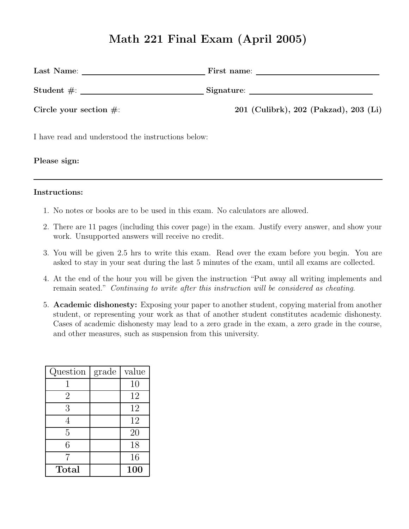# Math 221 Final Exam (April 2005)

| Last Name:                            |
|---------------------------------------|
| Student $\#$ :                        |
| 201 (Culibrk), 202 (Pakzad), 203 (Li) |
|                                       |

I have read and understood the instructions below:

Please sign:

#### Instructions:

- 1. No notes or books are to be used in this exam. No calculators are allowed.
- 2. There are 11 pages (including this cover page) in the exam. Justify every answer, and show your work. Unsupported answers will receive no credit.
- 3. You will be given 2.5 hrs to write this exam. Read over the exam before you begin. You are asked to stay in your seat during the last 5 minutes of the exam, until all exams are collected.
- 4. At the end of the hour you will be given the instruction "Put away all writing implements and remain seated." Continuing to write after this instruction will be considered as cheating.
- 5. Academic dishonesty: Exposing your paper to another student, copying material from another student, or representing your work as that of another student constitutes academic dishonesty. Cases of academic dishonesty may lead to a zero grade in the exam, a zero grade in the course, and other measures, such as suspension from this university.

| Question       | grade | value      |
|----------------|-------|------------|
|                |       | 10         |
| $\overline{2}$ |       | 12         |
| 3              |       | 12         |
| 4              |       | 12         |
| $\overline{5}$ |       | 20         |
| 6              |       | 18         |
| 7              |       | 16         |
| $\rm Total$    |       | <b>100</b> |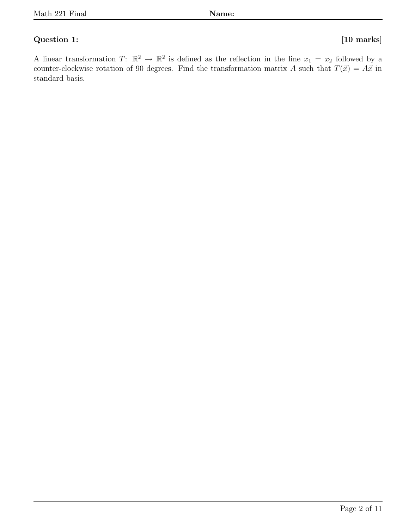#### Question 1: [10 marks]

A linear transformation  $T: \mathbb{R}^2 \to \mathbb{R}^2$  is defined as the reflection in the line  $x_1 = x_2$  followed by a counter-clockwise rotation of 90 degrees. Find the transformation matrix A such that  $T(\vec{x}) = A\vec{x}$  in standard basis.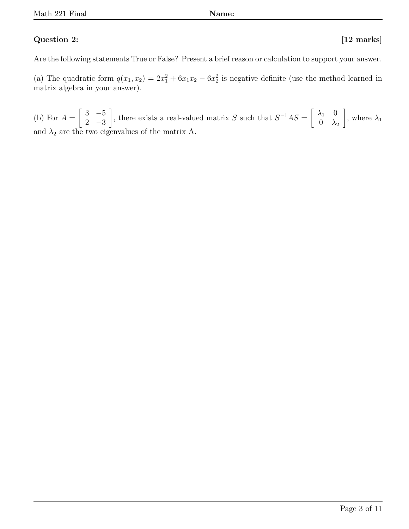### Question 2: [12 marks]

Are the following statements True or False? Present a brief reason or calculation to support your answer.

(a) The quadratic form  $q(x_1, x_2) = 2x_1^2 + 6x_1x_2 - 6x_2^2$  is negative definite (use the method learned in matrix algebra in your answer).

(b) For  $A =$  $\begin{bmatrix} 3 & -5 \end{bmatrix}$ 2 −3 1 , there exists a real-valued matrix S such that  $S^{-1}AS = \begin{bmatrix} \lambda_1 & 0 \\ 0 & \lambda_2 \end{bmatrix}$  $0 \lambda_2$ 1 , where  $\lambda_1$ and  $\lambda_2$  are the two eigenvalues of the matrix A.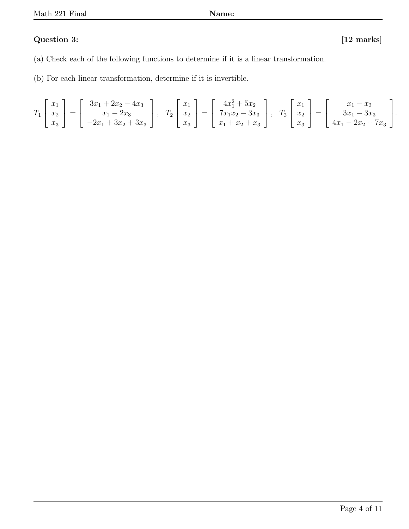### Question 3: [12 marks]

- (a) Check each of the following functions to determine if it is a linear transformation.
- (b) For each linear transformation, determine if it is invertible.

$$
T_1\begin{bmatrix} x_1 \\ x_2 \\ x_3 \end{bmatrix} = \begin{bmatrix} 3x_1 + 2x_2 - 4x_3 \\ x_1 - 2x_3 \\ -2x_1 + 3x_2 + 3x_3 \end{bmatrix}, \quad T_2\begin{bmatrix} x_1 \\ x_2 \\ x_3 \end{bmatrix} = \begin{bmatrix} 4x_1^2 + 5x_2 \\ 7x_1x_2 - 3x_3 \\ x_1 + x_2 + x_3 \end{bmatrix}, \quad T_3\begin{bmatrix} x_1 \\ x_2 \\ x_3 \end{bmatrix} = \begin{bmatrix} x_1 - x_3 \\ 3x_1 - 3x_3 \\ 4x_1 - 2x_2 + 7x_3 \end{bmatrix}.
$$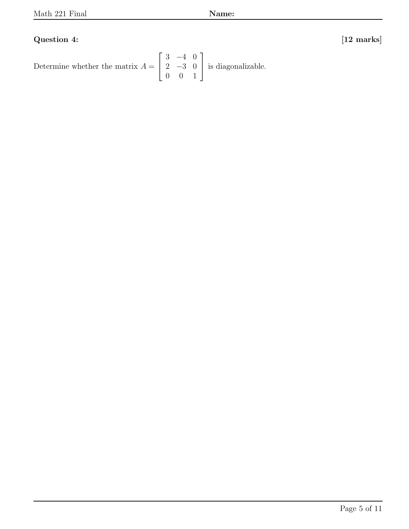## Question 4: [12 marks]

Determine whether the matrix  $A =$  $\sqrt{ }$  $\overline{\phantom{a}}$ 3 −4 0  $2 -3 0$ 0 0 1 1 is diagonalizable.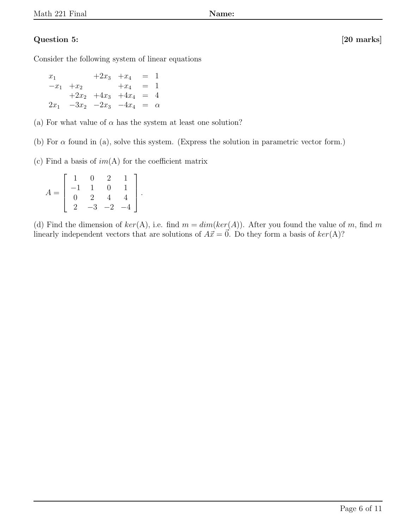### Question 5: [20 marks]

Consider the following system of linear equations

 $x_1 +2x_3 +x_4 = 1$  $-x_1$  +x<sub>2</sub> +x<sub>4</sub> = 1  $+2x_2$   $+4x_3$   $+4x_4$  = 4  $2x_1$  -3 $x_2$  -2 $x_3$  -4 $x_4$  =  $\alpha$ 

(a) For what value of  $\alpha$  has the system at least one solution?

(b) For  $\alpha$  found in (a), solve this system. (Express the solution in parametric vector form.)

(c) Find a basis of  $im(A)$  for the coefficient matrix

$$
A = \left[ \begin{array}{rrrr} 1 & 0 & 2 & 1 \\ -1 & 1 & 0 & 1 \\ 0 & 2 & 4 & 4 \\ 2 & -3 & -2 & -4 \end{array} \right].
$$

(d) Find the dimension of  $ker(A)$ , i.e. find  $m = dim(ker(A))$ . After you found the value of m, find m linearly independent vectors that are solutions of  $A\vec{x} = 0$ . Do they form a basis of  $ker(A)$ ?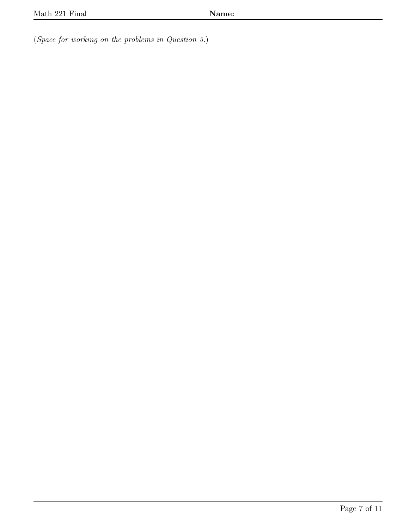(Space for working on the problems in Question 5.)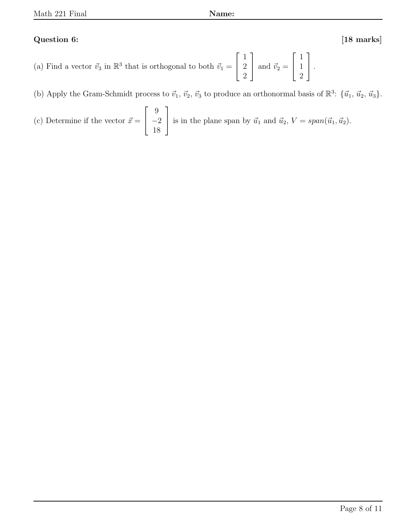### Question 6: [18 marks]

- (a) Find a vector  $\vec{v}_3$  in  $\mathbb{R}^3$  that is orthogonal to both  $\vec{v}_1 =$  $\sqrt{ }$  $\overline{\phantom{a}}$ 1 2 2 1 and  $\vec{v}_2 =$  $\sqrt{ }$  $\overline{1}$ 1 1 2 1  $\vert \cdot$
- (b) Apply the Gram-Schmidt process to  $\vec{v}_1$ ,  $\vec{v}_2$ ,  $\vec{v}_3$  to produce an orthonormal basis of  $\mathbb{R}^3$ :  $\{\vec{u}_1, \vec{u}_2, \vec{u}_3\}$ .

(c) Determine if the vector 
$$
\vec{x} = \begin{bmatrix} 9 \\ -2 \\ 18 \end{bmatrix}
$$
 is in the plane span by  $\vec{u}_1$  and  $\vec{u}_2$ ,  $V = span(\vec{u}_1, \vec{u}_2)$ .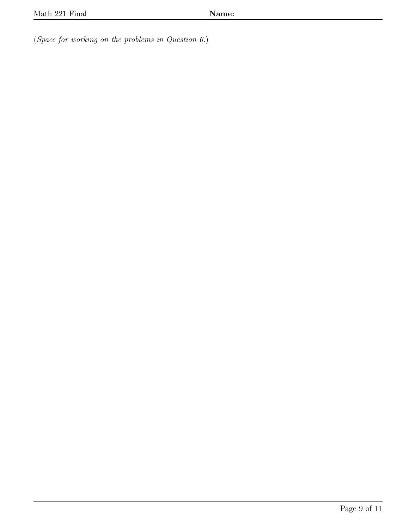(Space for working on the problems in Question 6.)